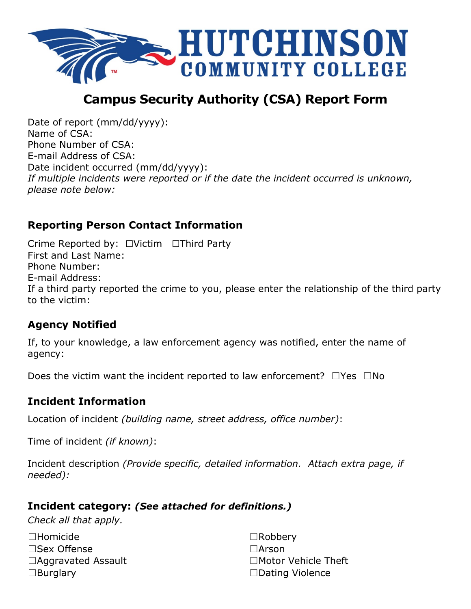

# **Campus Security Authority (CSA) Report Form**

Date of report (mm/dd/yyyy): Name of CSA: Phone Number of CSA: E-mail Address of CSA: Date incident occurred (mm/dd/yyyy): *If multiple incidents were reported or if the date the incident occurred is unknown, please note below:*

## **Reporting Person Contact Information**

 Crime Reported by: ☐Victim ☐Third Party to the victim: First and Last Name: Phone Number: E-mail Address: If a third party reported the crime to you, please enter the relationship of the third party

# **Agency Notified**

If, to your knowledge, a law enforcement agency was notified, enter the name of agency:

Does the victim want the incident reported to law enforcement? □Yes □No

### **Incident Information**

Location of incident *(building name, street address, office number)*:

Time of incident *(if known)*:

 Incident description *(Provide specific, detailed information. Attach extra page, if needed):* 

### **Incident category:** *(See attached for definitions.)*

*Check all that apply.* 

| $\square$ Homicide        | $\Box$ Robbery         |
|---------------------------|------------------------|
| $\square$ Sex Offense     | $\Box$ Arson           |
| $\Box$ Aggravated Assault | □Motor Vehicle Theft   |
| $\Box$ Burglary           | $\Box$ Dating Violence |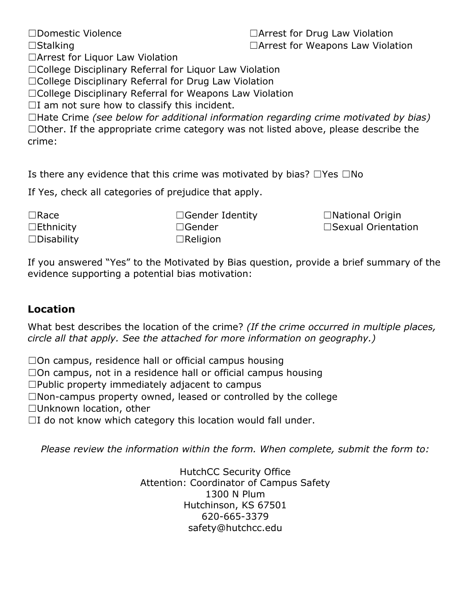□Other. If the appropriate crime category was not listed above, please describe the ☐Stalking ☐Arrest for Weapons Law Violation ☐Arrest for Liquor Law Violation ☐College Disciplinary Referral for Liquor Law Violation ☐College Disciplinary Referral for Drug Law Violation ☐College Disciplinary Referral for Weapons Law Violation  $\Box$ I am not sure how to classify this incident. ☐Hate Crime *(see below for additional information regarding crime motivated by bias)* crime:

☐Domestic Violence ☐Arrest for Drug Law Violation

Is there any evidence that this crime was motivated by bias?  $\Box$  Yes  $\Box$  No

If Yes, check all categories of prejudice that apply.

☐Race ☐Ethnicity

□Gender Identity □National Origin ☐Disability ☐Religion

☐Gender ☐Sexual Orientation

If you answered "Yes" to the Motivated by Bias question, provide a brief summary of the evidence supporting a potential bias motivation:

#### **Location**

What best describes the location of the crime? *(If the crime occurred in multiple places, circle all that apply. See the attached for more information on geography.)* 

 $\square$ On campus, residence hall or official campus housing

 $\square$ On campus, not in a residence hall or official campus housing

 $\square$ Public property immediately adjacent to campus

☐Non-campus property owned, leased or controlled by the college

☐Unknown location, other

 $\Box$ I do not know which category this location would fall under.

*Please review the information within the form. When complete, submit the form to:* 

HutchCC Security Office Attention: Coordinator of Campus Safety 1300 N Plum Hutchinson, KS 67501 620-665-3379 safety@hutchcc.edu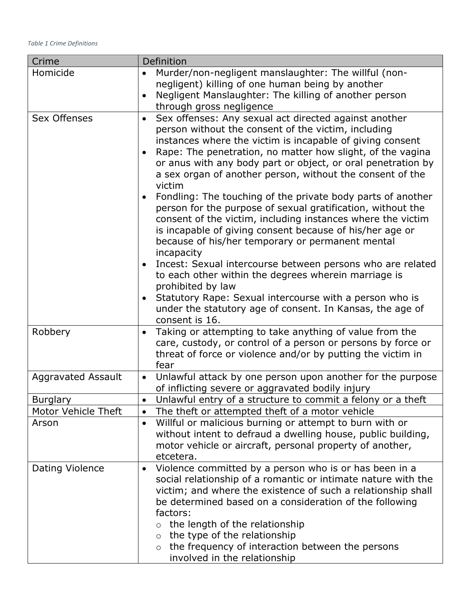| Crime                     | Definition                                                                                                                                                                                                                                                                                                                                                                                                                                                                                                                                                                                                                                                                                                                                                                                                                                                                                                                                                                                |
|---------------------------|-------------------------------------------------------------------------------------------------------------------------------------------------------------------------------------------------------------------------------------------------------------------------------------------------------------------------------------------------------------------------------------------------------------------------------------------------------------------------------------------------------------------------------------------------------------------------------------------------------------------------------------------------------------------------------------------------------------------------------------------------------------------------------------------------------------------------------------------------------------------------------------------------------------------------------------------------------------------------------------------|
| Homicide                  | Murder/non-negligent manslaughter: The willful (non-<br>negligent) killing of one human being by another<br>Negligent Manslaughter: The killing of another person<br>through gross negligence                                                                                                                                                                                                                                                                                                                                                                                                                                                                                                                                                                                                                                                                                                                                                                                             |
| <b>Sex Offenses</b>       | Sex offenses: Any sexual act directed against another<br>$\bullet$<br>person without the consent of the victim, including<br>instances where the victim is incapable of giving consent<br>Rape: The penetration, no matter how slight, of the vagina<br>or anus with any body part or object, or oral penetration by<br>a sex organ of another person, without the consent of the<br>victim<br>Fondling: The touching of the private body parts of another<br>person for the purpose of sexual gratification, without the<br>consent of the victim, including instances where the victim<br>is incapable of giving consent because of his/her age or<br>because of his/her temporary or permanent mental<br>incapacity<br>Incest: Sexual intercourse between persons who are related<br>to each other within the degrees wherein marriage is<br>prohibited by law<br>Statutory Rape: Sexual intercourse with a person who is<br>under the statutory age of consent. In Kansas, the age of |
| Robbery                   | consent is 16.<br>Taking or attempting to take anything of value from the                                                                                                                                                                                                                                                                                                                                                                                                                                                                                                                                                                                                                                                                                                                                                                                                                                                                                                                 |
|                           | care, custody, or control of a person or persons by force or<br>threat of force or violence and/or by putting the victim in<br>fear                                                                                                                                                                                                                                                                                                                                                                                                                                                                                                                                                                                                                                                                                                                                                                                                                                                       |
| <b>Aggravated Assault</b> | Unlawful attack by one person upon another for the purpose<br>$\bullet$<br>of inflicting severe or aggravated bodily injury                                                                                                                                                                                                                                                                                                                                                                                                                                                                                                                                                                                                                                                                                                                                                                                                                                                               |
| <b>Burglary</b>           | Unlawful entry of a structure to commit a felony or a theft                                                                                                                                                                                                                                                                                                                                                                                                                                                                                                                                                                                                                                                                                                                                                                                                                                                                                                                               |
| Motor Vehicle Theft       | The theft or attempted theft of a motor vehicle<br>$\bullet$                                                                                                                                                                                                                                                                                                                                                                                                                                                                                                                                                                                                                                                                                                                                                                                                                                                                                                                              |
| Arson                     | Willful or malicious burning or attempt to burn with or<br>$\bullet$<br>without intent to defraud a dwelling house, public building,<br>motor vehicle or aircraft, personal property of another,<br>etcetera.                                                                                                                                                                                                                                                                                                                                                                                                                                                                                                                                                                                                                                                                                                                                                                             |
| Dating Violence           | Violence committed by a person who is or has been in a<br>$\bullet$<br>social relationship of a romantic or intimate nature with the<br>victim; and where the existence of such a relationship shall<br>be determined based on a consideration of the following<br>factors:<br>the length of the relationship<br>the type of the relationship<br>$\circ$<br>the frequency of interaction between the persons<br>$\circ$<br>involved in the relationship                                                                                                                                                                                                                                                                                                                                                                                                                                                                                                                                   |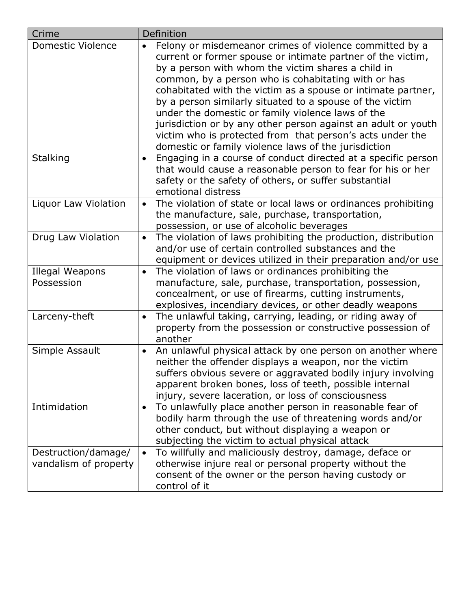| Crime                                        | Definition                                                                                                                                                                                                                                                                                                                                                                                                                                                                                                                                                                                                              |
|----------------------------------------------|-------------------------------------------------------------------------------------------------------------------------------------------------------------------------------------------------------------------------------------------------------------------------------------------------------------------------------------------------------------------------------------------------------------------------------------------------------------------------------------------------------------------------------------------------------------------------------------------------------------------------|
| <b>Domestic Violence</b>                     | Felony or misdemeanor crimes of violence committed by a<br>$\bullet$<br>current or former spouse or intimate partner of the victim,<br>by a person with whom the victim shares a child in<br>common, by a person who is cohabitating with or has<br>cohabitated with the victim as a spouse or intimate partner,<br>by a person similarly situated to a spouse of the victim<br>under the domestic or family violence laws of the<br>jurisdiction or by any other person against an adult or youth<br>victim who is protected from that person's acts under the<br>domestic or family violence laws of the jurisdiction |
| <b>Stalking</b>                              | Engaging in a course of conduct directed at a specific person<br>$\bullet$<br>that would cause a reasonable person to fear for his or her<br>safety or the safety of others, or suffer substantial<br>emotional distress                                                                                                                                                                                                                                                                                                                                                                                                |
| Liquor Law Violation                         | The violation of state or local laws or ordinances prohibiting<br>$\bullet$<br>the manufacture, sale, purchase, transportation,<br>possession, or use of alcoholic beverages                                                                                                                                                                                                                                                                                                                                                                                                                                            |
| Drug Law Violation                           | The violation of laws prohibiting the production, distribution<br>$\bullet$<br>and/or use of certain controlled substances and the<br>equipment or devices utilized in their preparation and/or use                                                                                                                                                                                                                                                                                                                                                                                                                     |
| Illegal Weapons<br>Possession                | The violation of laws or ordinances prohibiting the<br>$\bullet$<br>manufacture, sale, purchase, transportation, possession,<br>concealment, or use of firearms, cutting instruments,<br>explosives, incendiary devices, or other deadly weapons                                                                                                                                                                                                                                                                                                                                                                        |
| Larceny-theft                                | The unlawful taking, carrying, leading, or riding away of<br>$\bullet$<br>property from the possession or constructive possession of<br>another                                                                                                                                                                                                                                                                                                                                                                                                                                                                         |
| Simple Assault                               | An unlawful physical attack by one person on another where<br>$\bullet$<br>neither the offender displays a weapon, nor the victim<br>suffers obvious severe or aggravated bodily injury involving<br>apparent broken bones, loss of teeth, possible internal<br>injury, severe laceration, or loss of consciousness                                                                                                                                                                                                                                                                                                     |
| Intimidation                                 | To unlawfully place another person in reasonable fear of<br>$\bullet$<br>bodily harm through the use of threatening words and/or<br>other conduct, but without displaying a weapon or<br>subjecting the victim to actual physical attack                                                                                                                                                                                                                                                                                                                                                                                |
| Destruction/damage/<br>vandalism of property | To willfully and maliciously destroy, damage, deface or<br>$\bullet$<br>otherwise injure real or personal property without the<br>consent of the owner or the person having custody or<br>control of it                                                                                                                                                                                                                                                                                                                                                                                                                 |